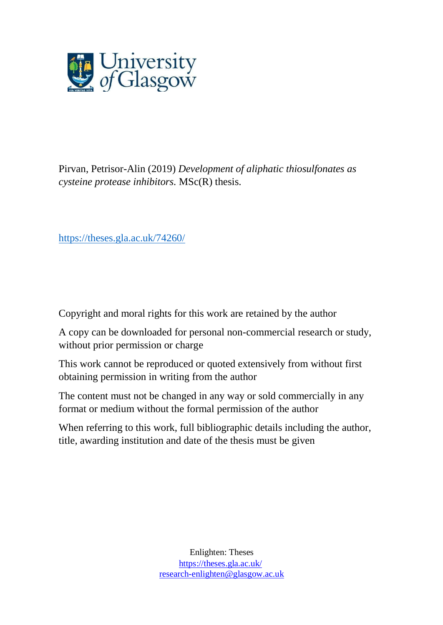

Pirvan, Petrisor-Alin (2019) *Development of aliphatic thiosulfonates as cysteine protease inhibitors.* MSc(R) thesis.

<https://theses.gla.ac.uk/74260/>

Copyright and moral rights for this work are retained by the author

A copy can be downloaded for personal non-commercial research or study, without prior permission or charge

This work cannot be reproduced or quoted extensively from without first obtaining permission in writing from the author

The content must not be changed in any way or sold commercially in any format or medium without the formal permission of the author

When referring to this work, full bibliographic details including the author, title, awarding institution and date of the thesis must be given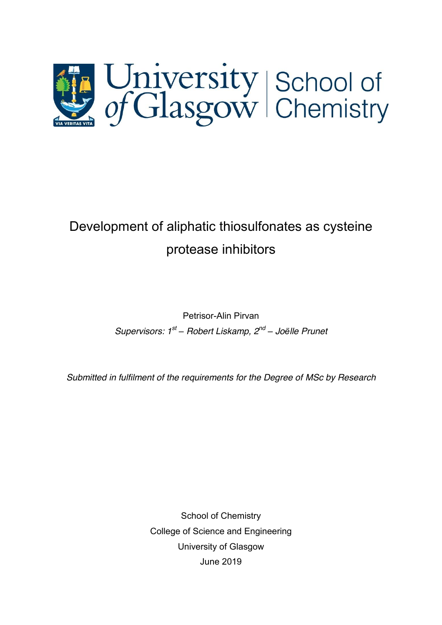

# Development of aliphatic thiosulfonates as cysteine protease inhibitors

Petrisor-Alin Pirvan *Supervisors: 1st – Robert Liskamp, 2nd – Joëlle Prunet*

*Submitted in fulfilment of the requirements for the Degree of MSc by Research*

School of Chemistry College of Science and Engineering University of Glasgow June 2019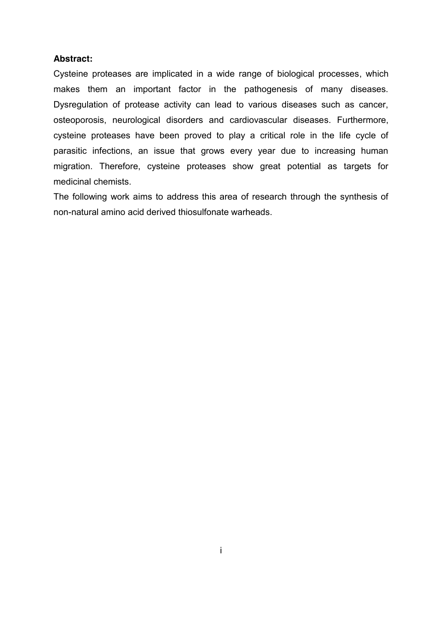#### **Abstract:**

Cysteine proteases are implicated in a wide range of biological processes, which makes them an important factor in the pathogenesis of many diseases. Dysregulation of protease activity can lead to various diseases such as cancer, osteoporosis, neurological disorders and cardiovascular diseases. Furthermore, cysteine proteases have been proved to play a critical role in the life cycle of parasitic infections, an issue that grows every year due to increasing human migration. Therefore, cysteine proteases show great potential as targets for medicinal chemists.

The following work aims to address this area of research through the synthesis of non-natural amino acid derived thiosulfonate warheads.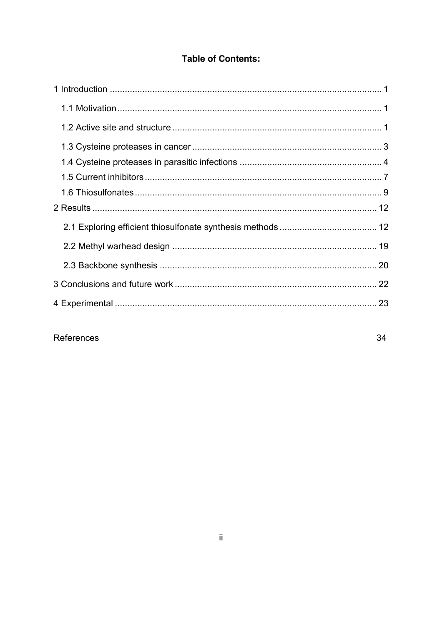### **Table of Contents:**

## References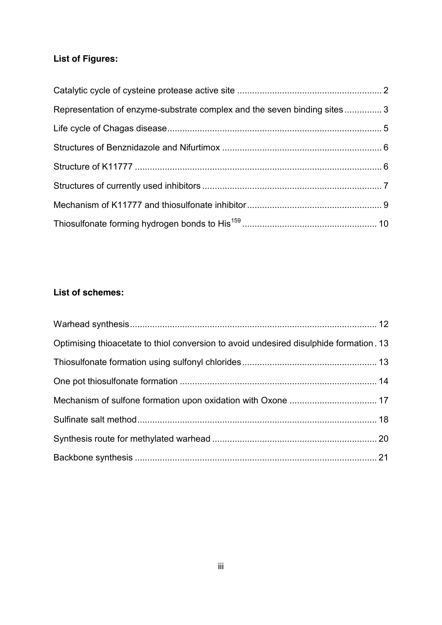## **List of Figures:**

| Representation of enzyme-substrate complex and the seven binding sites3 |  |
|-------------------------------------------------------------------------|--|
|                                                                         |  |
|                                                                         |  |
|                                                                         |  |
|                                                                         |  |
|                                                                         |  |
|                                                                         |  |

### **List of schemes:**

| Optimising thioacetate to thiol conversion to avoid undesired disulphide formation. 13 |  |
|----------------------------------------------------------------------------------------|--|
|                                                                                        |  |
|                                                                                        |  |
|                                                                                        |  |
|                                                                                        |  |
|                                                                                        |  |
|                                                                                        |  |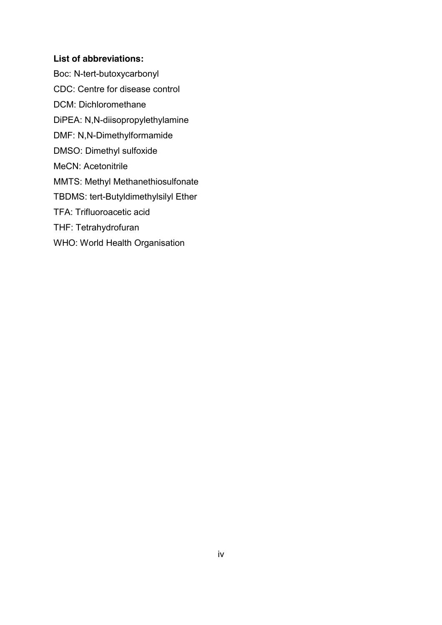#### **List of abbreviations:**

Boc: N-tert-butoxycarbonyl CDC: Centre for disease control DCM: Dichloromethane DiPEA: N,N-diisopropylethylamine DMF: N,N-Dimethylformamide DMSO: Dimethyl sulfoxide MeCN: Acetonitrile MMTS: Methyl Methanethiosulfonate TBDMS: tert-Butyldimethylsilyl Ether TFA: Trifluoroacetic acid THF: Tetrahydrofuran WHO: World Health Organisation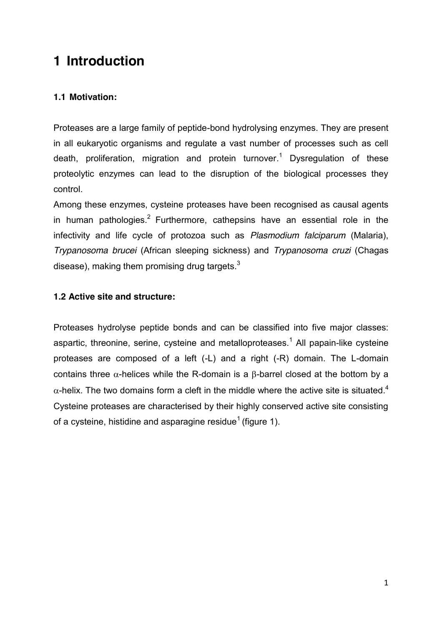## **1 Introduction**

#### **1.1 Motivation:**

Proteases are a large family of peptide-bond hydrolysing enzymes. They are present in all eukaryotic organisms and regulate a vast number of processes such as cell death, proliferation, migration and protein turnover. <sup>1</sup> Dysregulation of these proteolytic enzymes can lead to the disruption of the biological processes they control.

Among these enzymes, cysteine proteases have been recognised as causal agents in human pathologies.<sup>2</sup> Furthermore, cathepsins have an essential role in the infectivity and life cycle of protozoa such as *Plasmodium falciparum* (Malaria), *Trypanosoma brucei* (African sleeping sickness) and *Trypanosoma cruzi* (Chagas disease), making them promising drug targets. $^3$ 

#### **1.2 Active site and structure:**

Proteases hydrolyse peptide bonds and can be classified into five major classes: aspartic, threonine, serine, cysteine and metalloproteases.<sup>1</sup> All papain-like cysteine proteases are composed of a left (-L) and a right (-R) domain. The L-domain contains three  $\alpha$ -helices while the R-domain is a  $\beta$ -barrel closed at the bottom by a  $\alpha$ -helix. The two domains form a cleft in the middle where the active site is situated.<sup>4</sup> Cysteine proteases are characterised by their highly conserved active site consisting of a cysteine, histidine and asparagine residue<sup>1</sup> (figure 1).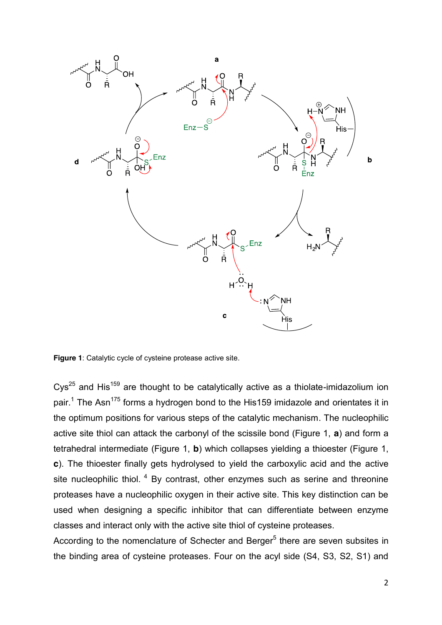

**Figure 1**: Catalytic cycle of cysteine protease active site.

Cys<sup>25</sup> and His<sup>159</sup> are thought to be catalytically active as a thiolate-imidazolium ion pair.<sup>1</sup> The Asn<sup>175</sup> forms a hydrogen bond to the His159 imidazole and orientates it in the optimum positions for various steps of the catalytic mechanism. The nucleophilic active site thiol can attack the carbonyl of the scissile bond (Figure 1, **a**) and form a tetrahedral intermediate (Figure 1, **b**) which collapses yielding a thioester (Figure 1, **c**). The thioester finally gets hydrolysed to yield the carboxylic acid and the active site nucleophilic thiol.  $4\,$  By contrast, other enzymes such as serine and threonine proteases have a nucleophilic oxygen in their active site. This key distinction can be used when designing a specific inhibitor that can differentiate between enzyme classes and interact only with the active site thiol of cysteine proteases.

According to the nomenclature of Schecter and Berger<sup>5</sup> there are seven subsites in the binding area of cysteine proteases. Four on the acyl side (S4, S3, S2, S1) and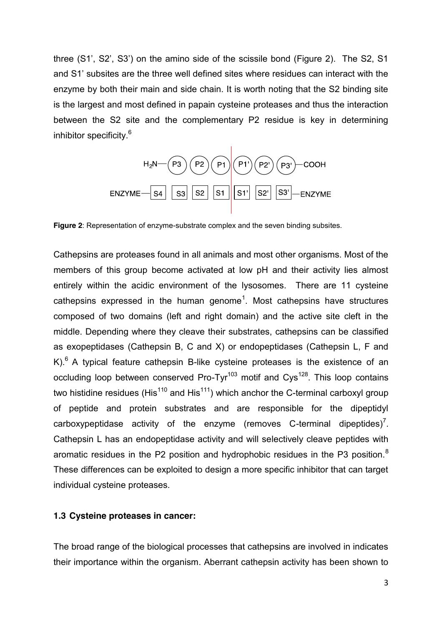three (S1', S2', S3') on the amino side of the scissile bond (Figure 2). The S2, S1 and S1' subsites are the three well defined sites where residues can interact with the enzyme by both their main and side chain. It is worth noting that the S2 binding site is the largest and most defined in papain cysteine proteases and thus the interaction between the S2 site and the complementary P2 residue is key in determining inhibitor specificity.<sup>6</sup>



**Figure 2**: Representation of enzyme-substrate complex and the seven binding subsites.

Cathepsins are proteases found in all animals and most other organisms. Most of the members of this group become activated at low pH and their activity lies almost entirely within the acidic environment of the lysosomes. There are 11 cysteine cathepsins expressed in the human genome<sup>1</sup>. Most cathepsins have structures composed of two domains (left and right domain) and the active site cleft in the middle. Depending where they cleave their substrates, cathepsins can be classified as exopeptidases (Cathepsin B, C and X) or endopeptidases (Cathepsin L, F and K). $6$  A typical feature cathepsin B-like cysteine proteases is the existence of an occluding loop between conserved Pro-Tyr<sup>103</sup> motif and Cys<sup>128</sup>. This loop contains two histidine residues (His $110$  and His $111$ ) which anchor the C-terminal carboxyl group of peptide and protein substrates and are responsible for the dipeptidyl carboxypeptidase activity of the enzyme (removes C-terminal dipeptides)<sup>7</sup>. Cathepsin L has an endopeptidase activity and will selectively cleave peptides with aromatic residues in the P2 position and hydrophobic residues in the P3 position.<sup>8</sup> These differences can be exploited to design a more specific inhibitor that can target individual cysteine proteases.

#### **1.3 Cysteine proteases in cancer:**

The broad range of the biological processes that cathepsins are involved in indicates their importance within the organism. Aberrant cathepsin activity has been shown to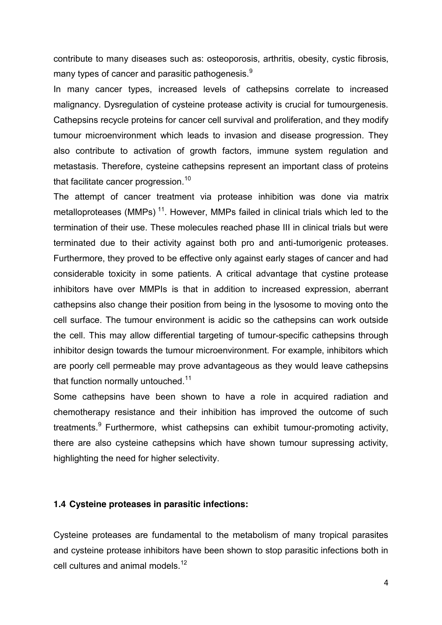contribute to many diseases such as: osteoporosis, arthritis, obesity, cystic fibrosis, many types of cancer and parasitic pathogenesis.<sup>9</sup>

In many cancer types, increased levels of cathepsins correlate to increased malignancy. Dysregulation of cysteine protease activity is crucial for tumourgenesis. Cathepsins recycle proteins for cancer cell survival and proliferation, and they modify tumour microenvironment which leads to invasion and disease progression. They also contribute to activation of growth factors, immune system regulation and metastasis. Therefore, cysteine cathepsins represent an important class of proteins that facilitate cancer progression.<sup>10</sup>

The attempt of cancer treatment via protease inhibition was done via matrix metalloproteases (MMPs)<sup>11</sup>. However, MMPs failed in clinical trials which led to the termination of their use. These molecules reached phase III in clinical trials but were terminated due to their activity against both pro and anti-tumorigenic proteases. Furthermore, they proved to be effective only against early stages of cancer and had considerable toxicity in some patients. A critical advantage that cystine protease inhibitors have over MMPIs is that in addition to increased expression, aberrant cathepsins also change their position from being in the lysosome to moving onto the cell surface. The tumour environment is acidic so the cathepsins can work outside the cell. This may allow differential targeting of tumour-specific cathepsins through inhibitor design towards the tumour microenvironment. For example, inhibitors which are poorly cell permeable may prove advantageous as they would leave cathepsins that function normally untouched.<sup>11</sup>

Some cathepsins have been shown to have a role in acquired radiation and chemotherapy resistance and their inhibition has improved the outcome of such treatments.<sup>9</sup> Furthermore, whist cathepsins can exhibit tumour-promoting activity, there are also cysteine cathepsins which have shown tumour supressing activity, highlighting the need for higher selectivity.

#### **1.4 Cysteine proteases in parasitic infections:**

Cysteine proteases are fundamental to the metabolism of many tropical parasites and cysteine protease inhibitors have been shown to stop parasitic infections both in cell cultures and animal models.<sup>12</sup>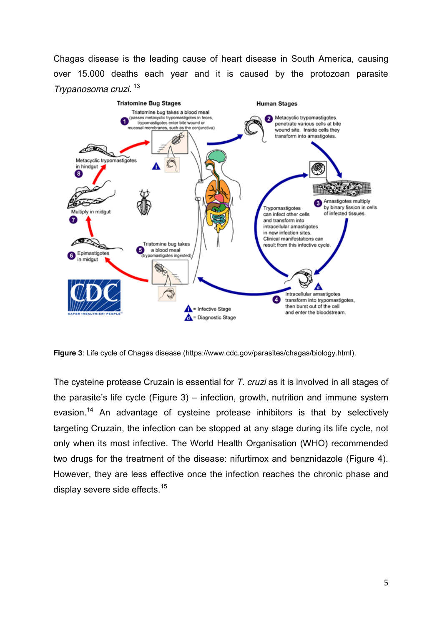Chagas disease is the leading cause of heart disease in South America, causing over 15.000 deaths each year and it is caused by the protozoan parasite *Trypanosoma cruzi*. <sup>13</sup>



**Figure 3**: Life cycle of Chagas disease (https://www.cdc.gov/parasites/chagas/biology.html).

The cysteine protease Cruzain is essential for *T. cruzi* as it is involved in all stages of the parasite's life cycle (Figure 3) – infection, growth, nutrition and immune system evasion.<sup>14</sup> An advantage of cysteine protease inhibitors is that by selectively targeting Cruzain, the infection can be stopped at any stage during its life cycle, not only when its most infective. The World Health Organisation (WHO) recommended two drugs for the treatment of the disease: nifurtimox and benznidazole (Figure 4). However, they are less effective once the infection reaches the chronic phase and display severe side effects.<sup>15</sup>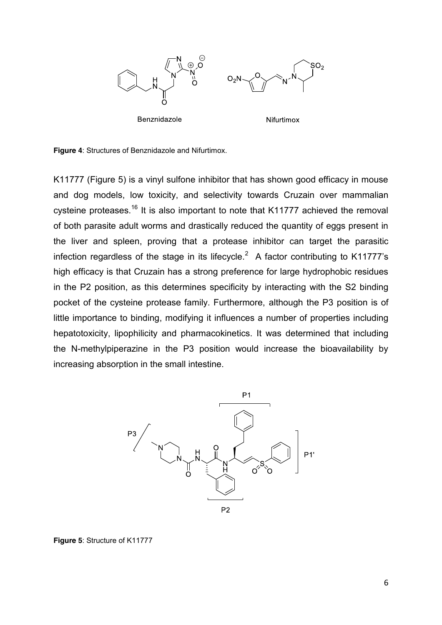

**Figure 4**: Structures of Benznidazole and Nifurtimox.

K11777 (Figure 5) is a vinyl sulfone inhibitor that has shown good efficacy in mouse and dog models, low toxicity, and selectivity towards Cruzain over mammalian cysteine proteases.<sup>16</sup> It is also important to note that K11777 achieved the removal of both parasite adult worms and drastically reduced the quantity of eggs present in the liver and spleen, proving that a protease inhibitor can target the parasitic infection regardless of the stage in its lifecycle.<sup>2</sup> A factor contributing to K11777's high efficacy is that Cruzain has a strong preference for large hydrophobic residues in the P2 position, as this determines specificity by interacting with the S2 binding pocket of the cysteine protease family. Furthermore, although the P3 position is of little importance to binding, modifying it influences a number of properties including hepatotoxicity, lipophilicity and pharmacokinetics. It was determined that including the N-methylpiperazine in the P3 position would increase the bioavailability by increasing absorption in the small intestine.



**Figure 5**: Structure of K11777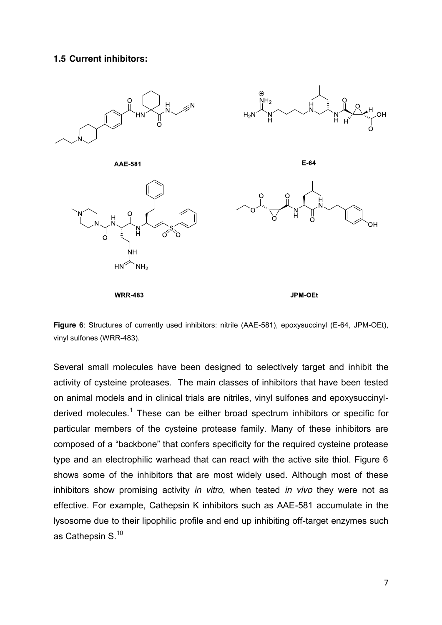#### **1.5 Current inhibitors:**



**Figure 6**: Structures of currently used inhibitors: nitrile (AAE-581), epoxysuccinyl (E-64, JPM-OEt), vinyl sulfones (WRR-483).

Several small molecules have been designed to selectively target and inhibit the activity of cysteine proteases. The main classes of inhibitors that have been tested on animal models and in clinical trials are nitriles, vinyl sulfones and epoxysuccinylderived molecules.<sup>1</sup> These can be either broad spectrum inhibitors or specific for particular members of the cysteine protease family. Many of these inhibitors are composed of a "backbone" that confers specificity for the required cysteine protease type and an electrophilic warhead that can react with the active site thiol. Figure 6 shows some of the inhibitors that are most widely used. Although most of these inhibitors show promising activity *in vitro*, when tested *in vivo* they were not as effective. For example, Cathepsin K inhibitors such as AAE-581 accumulate in the lysosome due to their lipophilic profile and end up inhibiting off-target enzymes such as Cathepsin S.<sup>10</sup>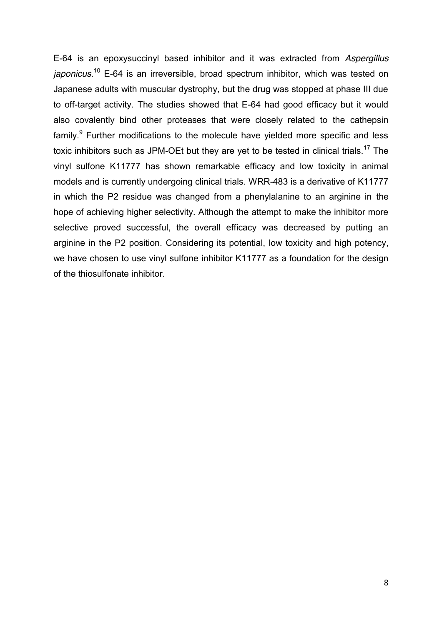E-64 is an epoxysuccinyl based inhibitor and it was extracted from *Aspergillus japonicus*. <sup>10</sup> E-64 is an irreversible, broad spectrum inhibitor, which was tested on Japanese adults with muscular dystrophy, but the drug was stopped at phase III due to off-target activity. The studies showed that E-64 had good efficacy but it would also covalently bind other proteases that were closely related to the cathepsin  $family.<sup>9</sup>$  Further modifications to the molecule have yielded more specific and less toxic inhibitors such as JPM-OEt but they are yet to be tested in clinical trials.<sup>17</sup> The vinyl sulfone K11777 has shown remarkable efficacy and low toxicity in animal models and is currently undergoing clinical trials. WRR-483 is a derivative of K11777 in which the P2 residue was changed from a phenylalanine to an arginine in the hope of achieving higher selectivity. Although the attempt to make the inhibitor more selective proved successful, the overall efficacy was decreased by putting an arginine in the P2 position. Considering its potential, low toxicity and high potency, we have chosen to use vinyl sulfone inhibitor K11777 as a foundation for the design of the thiosulfonate inhibitor.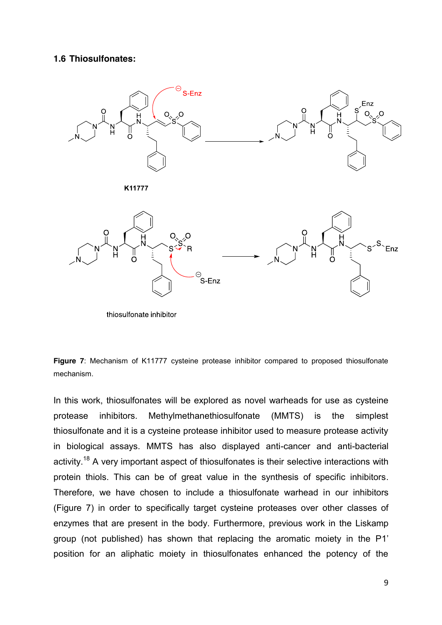#### **1.6 Thiosulfonates:**



thiosulfonate inhibitor



In this work, thiosulfonates will be explored as novel warheads for use as cysteine protease inhibitors. Methylmethanethiosulfonate (MMTS) is the simplest thiosulfonate and it is a cysteine protease inhibitor used to measure protease activity in biological assays. MMTS has also displayed anti-cancer and anti-bacterial activity.<sup>18</sup> A very important aspect of thiosulfonates is their selective interactions with protein thiols. This can be of great value in the synthesis of specific inhibitors. Therefore, we have chosen to include a thiosulfonate warhead in our inhibitors (Figure 7) in order to specifically target cysteine proteases over other classes of enzymes that are present in the body. Furthermore, previous work in the Liskamp group (not published) has shown that replacing the aromatic moiety in the P1' position for an aliphatic moiety in thiosulfonates enhanced the potency of the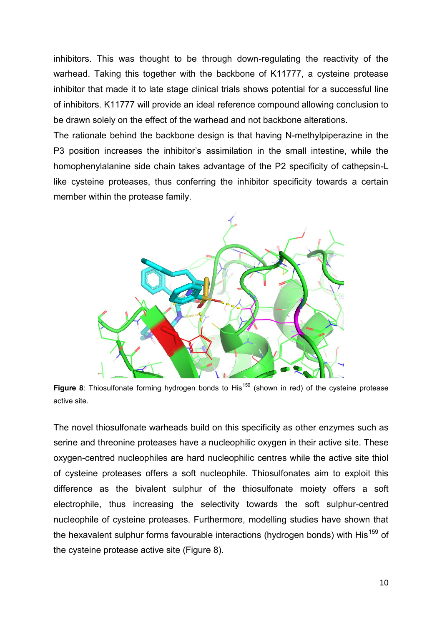inhibitors. This was thought to be through down-regulating the reactivity of the warhead. Taking this together with the backbone of K11777, a cysteine protease inhibitor that made it to late stage clinical trials shows potential for a successful line of inhibitors. K11777 will provide an ideal reference compound allowing conclusion to be drawn solely on the effect of the warhead and not backbone alterations.

The rationale behind the backbone design is that having N-methylpiperazine in the P3 position increases the inhibitor's assimilation in the small intestine, while the homophenylalanine side chain takes advantage of the P2 specificity of cathepsin-L like cysteine proteases, thus conferring the inhibitor specificity towards a certain member within the protease family.



Figure 8: Thiosulfonate forming hydrogen bonds to His<sup>159</sup> (shown in red) of the cysteine protease active site.

The novel thiosulfonate warheads build on this specificity as other enzymes such as serine and threonine proteases have a nucleophilic oxygen in their active site. These oxygen-centred nucleophiles are hard nucleophilic centres while the active site thiol of cysteine proteases offers a soft nucleophile. Thiosulfonates aim to exploit this difference as the bivalent sulphur of the thiosulfonate moiety offers a soft electrophile, thus increasing the selectivity towards the soft sulphur-centred nucleophile of cysteine proteases. Furthermore, modelling studies have shown that the hexavalent sulphur forms favourable interactions (hydrogen bonds) with His<sup>159</sup> of the cysteine protease active site (Figure 8).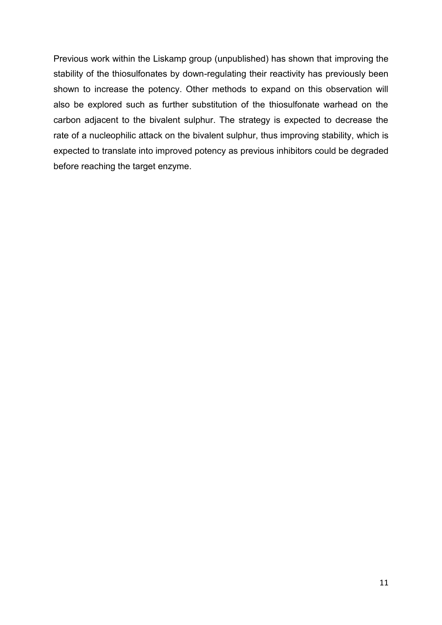Previous work within the Liskamp group (unpublished) has shown that improving the stability of the thiosulfonates by down-regulating their reactivity has previously been shown to increase the potency. Other methods to expand on this observation will also be explored such as further substitution of the thiosulfonate warhead on the carbon adjacent to the bivalent sulphur. The strategy is expected to decrease the rate of a nucleophilic attack on the bivalent sulphur, thus improving stability, which is expected to translate into improved potency as previous inhibitors could be degraded before reaching the target enzyme.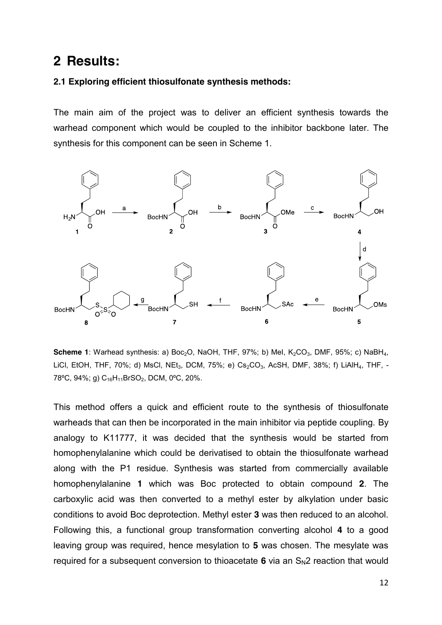## **2 Results:**

#### **2.1 Exploring efficient thiosulfonate synthesis methods:**

The main aim of the project was to deliver an efficient synthesis towards the warhead component which would be coupled to the inhibitor backbone later. The synthesis for this component can be seen in Scheme 1.



**Scheme 1**: Warhead synthesis: a) Boc<sub>2</sub>O, NaOH, THF, 97%; b) MeI, K<sub>2</sub>CO<sub>3</sub>, DMF, 95%; c) NaBH<sub>4</sub>, LiCl, EtOH, THF, 70%; d) MsCl, NEt<sub>3</sub>, DCM, 75%; e) Cs<sub>2</sub>CO<sub>3</sub>, AcSH, DMF, 38%; f) LiAlH<sub>4</sub>, THF, -78°C, 94%; g) C<sub>16</sub>H<sub>11</sub>BrSO<sub>2</sub>, DCM, 0°C, 20%.

This method offers a quick and efficient route to the synthesis of thiosulfonate warheads that can then be incorporated in the main inhibitor via peptide coupling. By analogy to K11777, it was decided that the synthesis would be started from homophenylalanine which could be derivatised to obtain the thiosulfonate warhead along with the P1 residue. Synthesis was started from commercially available homophenylalanine **1** which was Boc protected to obtain compound **2**. The carboxylic acid was then converted to a methyl ester by alkylation under basic conditions to avoid Boc deprotection. Methyl ester **3** was then reduced to an alcohol. Following this, a functional group transformation converting alcohol **4** to a good leaving group was required, hence mesylation to **5** was chosen. The mesylate was required for a subsequent conversion to thioacetate  $6$  via an  $S_N2$  reaction that would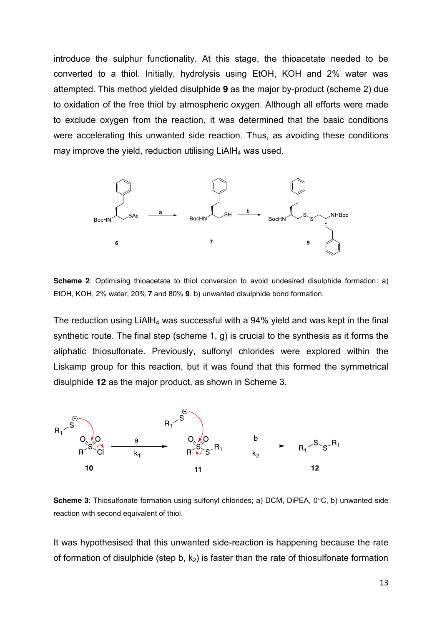introduce the sulphur functionality. At this stage, the thioacetate needed to be converted to a thiol. Initially, hydrolysis using EtOH, KOH and 2% water was attempted. This method yielded disulphide **9** as the major by-product (scheme 2) due to oxidation of the free thiol by atmospheric oxygen. Although all efforts were made to exclude oxygen from the reaction, it was determined that the basic conditions were accelerating this unwanted side reaction. Thus, as avoiding these conditions may improve the yield, reduction utilising  $LiAlH<sub>4</sub>$  was used.



**Scheme 2**: Optimising thioacetate to thiol conversion to avoid undesired disulphide formation: a) EtOH, KOH, 2% water, 20% **7** and 80% **9**. b) unwanted disulphide bond formation.

The reduction using  $LiAlH<sub>4</sub>$  was successful with a 94% yield and was kept in the final synthetic route. The final step (scheme 1, g) is crucial to the synthesis as it forms the aliphatic thiosulfonate. Previously, sulfonyl chlorides were explored within the Liskamp group for this reaction, but it was found that this formed the symmetrical disulphide **12** as the major product, as shown in Scheme 3.



**Scheme 3**: Thiosulfonate formation using sulfonyl chlorides; a) DCM, DiPEA, 0°C, b) unwanted side reaction with second equivalent of thiol.

It was hypothesised that this unwanted side-reaction is happening because the rate of formation of disulphide (step b,  $k_2$ ) is faster than the rate of thiosulfonate formation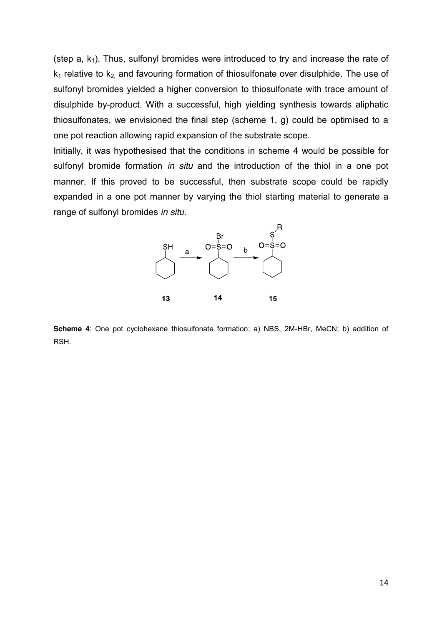(step  $a, k_1$ ). Thus, sulfonyl bromides were introduced to try and increase the rate of  $k_1$  relative to  $k_2$  and favouring formation of thiosulfonate over disulphide. The use of sulfonyl bromides yielded a higher conversion to thiosulfonate with trace amount of disulphide by-product. With a successful, high yielding synthesis towards aliphatic thiosulfonates, we envisioned the final step (scheme 1, g) could be optimised to a one pot reaction allowing rapid expansion of the substrate scope.

Initially, it was hypothesised that the conditions in scheme 4 would be possible for sulfonyl bromide formation *in situ* and the introduction of the thiol in a one pot manner. If this proved to be successful, then substrate scope could be rapidly expanded in a one pot manner by varying the thiol starting material to generate a range of sulfonyl bromides *in situ*.



**Scheme 4**: One pot cyclohexane thiosulfonate formation; a) NBS, 2M-HBr, MeCN; b) addition of RSH.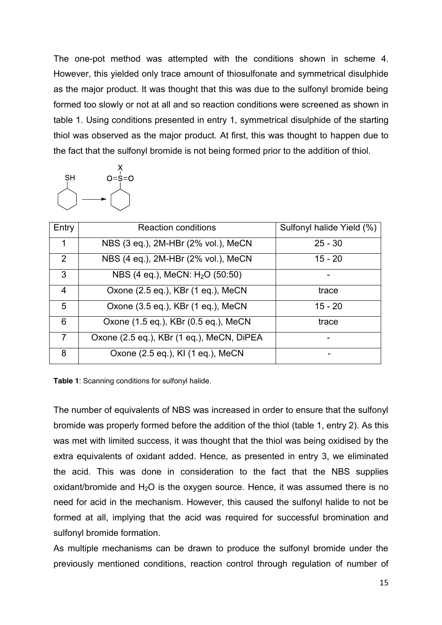The one-pot method was attempted with the conditions shown in scheme 4. However, this yielded only trace amount of thiosulfonate and symmetrical disulphide as the major product. It was thought that this was due to the sulfonyl bromide being formed too slowly or not at all and so reaction conditions were screened as shown in table 1. Using conditions presented in entry 1, symmetrical disulphide of the starting thiol was observed as the major product. At first, this was thought to happen due to the fact that the sulfonyl bromide is not being formed prior to the addition of thiol.



| Entry          | <b>Reaction conditions</b>                  | Sulfonyl halide Yield (%) |
|----------------|---------------------------------------------|---------------------------|
| 1              | NBS (3 eq.), 2M-HBr (2% vol.), MeCN         | $25 - 30$                 |
| $\overline{2}$ | NBS (4 eq.), 2M-HBr (2% vol.), MeCN         | $15 - 20$                 |
| 3              | NBS (4 eq.), MeCN: H <sub>2</sub> O (50:50) |                           |
| $\overline{4}$ | Oxone (2.5 eq.), KBr (1 eq.), MeCN          | trace                     |
| 5              | Oxone (3.5 eq.), KBr (1 eq.), MeCN          | $15 - 20$                 |
| 6              | Oxone (1.5 eq.), KBr (0.5 eq.), MeCN        | trace                     |
| 7              | Oxone (2.5 eq.), KBr (1 eq.), MeCN, DiPEA   |                           |
| 8              | Oxone (2.5 eq.), KI (1 eq.), MeCN           |                           |

**Table 1**: Scanning conditions for sulfonyl halide.

The number of equivalents of NBS was increased in order to ensure that the sulfonyl bromide was properly formed before the addition of the thiol (table 1, entry 2). As this was met with limited success, it was thought that the thiol was being oxidised by the extra equivalents of oxidant added. Hence, as presented in entry 3, we eliminated the acid. This was done in consideration to the fact that the NBS supplies oxidant/bromide and  $H_2O$  is the oxygen source. Hence, it was assumed there is no need for acid in the mechanism. However, this caused the sulfonyl halide to not be formed at all, implying that the acid was required for successful bromination and sulfonyl bromide formation.

As multiple mechanisms can be drawn to produce the sulfonyl bromide under the previously mentioned conditions, reaction control through regulation of number of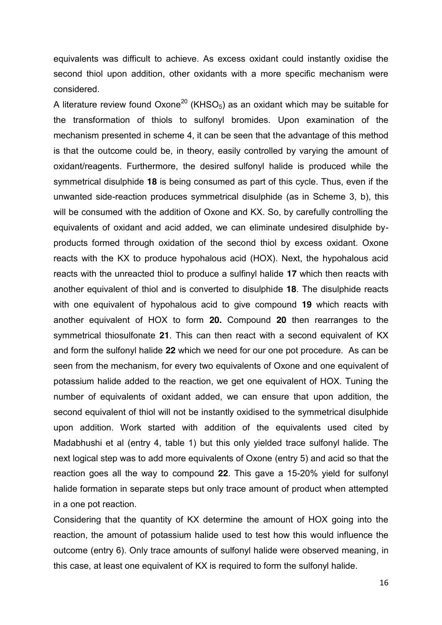equivalents was difficult to achieve. As excess oxidant could instantly oxidise the second thiol upon addition, other oxidants with a more specific mechanism were considered.

A literature review found Oxone<sup>20</sup> (KHSO<sub>5</sub>) as an oxidant which may be suitable for the transformation of thiols to sulfonyl bromides. Upon examination of the mechanism presented in scheme 4, it can be seen that the advantage of this method is that the outcome could be, in theory, easily controlled by varying the amount of oxidant/reagents. Furthermore, the desired sulfonyl halide is produced while the symmetrical disulphide **18** is being consumed as part of this cycle. Thus, even if the unwanted side-reaction produces symmetrical disulphide (as in Scheme 3, b), this will be consumed with the addition of Oxone and KX. So, by carefully controlling the equivalents of oxidant and acid added, we can eliminate undesired disulphide byproducts formed through oxidation of the second thiol by excess oxidant. Oxone reacts with the KX to produce hypohalous acid (HOX). Next, the hypohalous acid reacts with the unreacted thiol to produce a sulfinyl halide **17** which then reacts with another equivalent of thiol and is converted to disulphide **18**. The disulphide reacts with one equivalent of hypohalous acid to give compound **19** which reacts with another equivalent of HOX to form **20.** Compound **20** then rearranges to the symmetrical thiosulfonate **21**. This can then react with a second equivalent of KX and form the sulfonyl halide **22** which we need for our one pot procedure. As can be seen from the mechanism, for every two equivalents of Oxone and one equivalent of potassium halide added to the reaction, we get one equivalent of HOX. Tuning the number of equivalents of oxidant added, we can ensure that upon addition, the second equivalent of thiol will not be instantly oxidised to the symmetrical disulphide upon addition. Work started with addition of the equivalents used cited by Madabhushi et al (entry 4, table 1) but this only yielded trace sulfonyl halide. The next logical step was to add more equivalents of Oxone (entry 5) and acid so that the reaction goes all the way to compound **22**. This gave a 15-20% yield for sulfonyl halide formation in separate steps but only trace amount of product when attempted in a one pot reaction.

Considering that the quantity of KX determine the amount of HOX going into the reaction, the amount of potassium halide used to test how this would influence the outcome (entry 6). Only trace amounts of sulfonyl halide were observed meaning, in this case, at least one equivalent of KX is required to form the sulfonyl halide.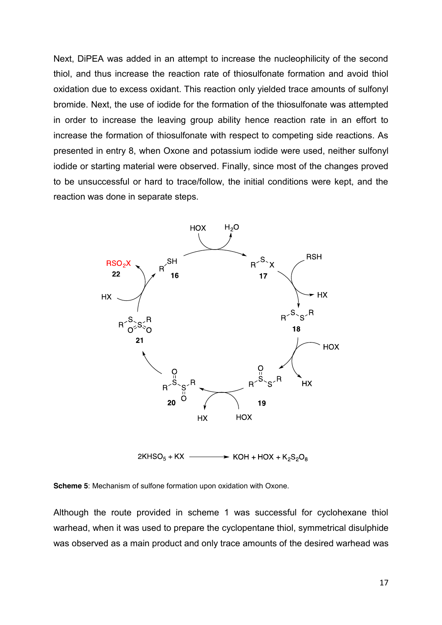Next, DiPEA was added in an attempt to increase the nucleophilicity of the second thiol, and thus increase the reaction rate of thiosulfonate formation and avoid thiol oxidation due to excess oxidant. This reaction only yielded trace amounts of sulfonyl bromide. Next, the use of iodide for the formation of the thiosulfonate was attempted in order to increase the leaving group ability hence reaction rate in an effort to increase the formation of thiosulfonate with respect to competing side reactions. As presented in entry 8, when Oxone and potassium iodide were used, neither sulfonyl iodide or starting material were observed. Finally, since most of the changes proved to be unsuccessful or hard to trace/follow, the initial conditions were kept, and the reaction was done in separate steps.



 $2KHSO<sub>5</sub> + KX \rightarrow$  KOH + HOX + K<sub>2</sub>S<sub>2</sub>O<sub>8</sub>

**Scheme 5**: Mechanism of sulfone formation upon oxidation with Oxone.

Although the route provided in scheme 1 was successful for cyclohexane thiol warhead, when it was used to prepare the cyclopentane thiol, symmetrical disulphide was observed as a main product and only trace amounts of the desired warhead was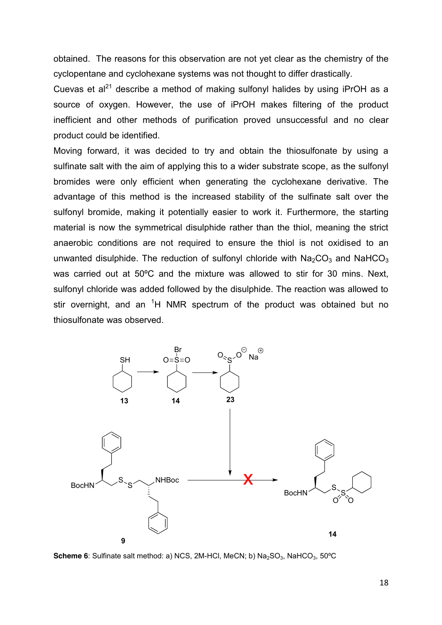obtained. The reasons for this observation are not yet clear as the chemistry of the cyclopentane and cyclohexane systems was not thought to differ drastically.

Cuevas et al<sup>21</sup> describe a method of making sulfonyl halides by using iPrOH as a source of oxygen. However, the use of iPrOH makes filtering of the product inefficient and other methods of purification proved unsuccessful and no clear product could be identified.

Moving forward, it was decided to try and obtain the thiosulfonate by using a sulfinate salt with the aim of applying this to a wider substrate scope, as the sulfonyl bromides were only efficient when generating the cyclohexane derivative. The advantage of this method is the increased stability of the sulfinate salt over the sulfonyl bromide, making it potentially easier to work it. Furthermore, the starting material is now the symmetrical disulphide rather than the thiol, meaning the strict anaerobic conditions are not required to ensure the thiol is not oxidised to an unwanted disulphide. The reduction of sulfonyl chloride with  $Na<sub>2</sub>CO<sub>3</sub>$  and NaHCO<sub>3</sub> was carried out at 50ºC and the mixture was allowed to stir for 30 mins. Next, sulfonyl chloride was added followed by the disulphide. The reaction was allowed to stir overnight, and an <sup>1</sup>H NMR spectrum of the product was obtained but no thiosulfonate was observed.



**Scheme 6**: Sulfinate salt method: a) NCS, 2M-HCl, MeCN; b) Na<sub>2</sub>SO<sub>3</sub>, NaHCO<sub>3</sub>, 50°C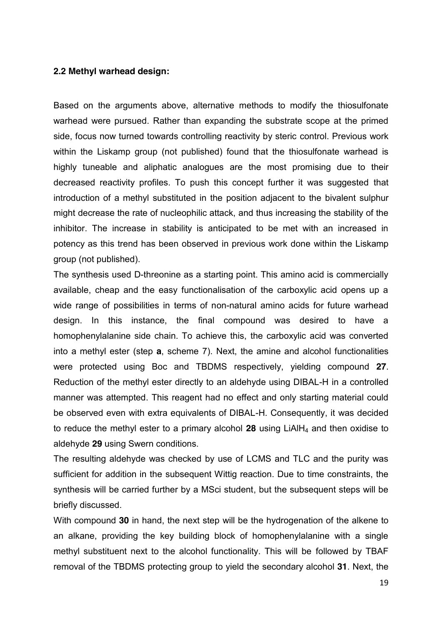#### **2.2 Methyl warhead design:**

Based on the arguments above, alternative methods to modify the thiosulfonate warhead were pursued. Rather than expanding the substrate scope at the primed side, focus now turned towards controlling reactivity by steric control. Previous work within the Liskamp group (not published) found that the thiosulfonate warhead is highly tuneable and aliphatic analogues are the most promising due to their decreased reactivity profiles. To push this concept further it was suggested that introduction of a methyl substituted in the position adjacent to the bivalent sulphur might decrease the rate of nucleophilic attack, and thus increasing the stability of the inhibitor. The increase in stability is anticipated to be met with an increased in potency as this trend has been observed in previous work done within the Liskamp group (not published).

The synthesis used D-threonine as a starting point. This amino acid is commercially available, cheap and the easy functionalisation of the carboxylic acid opens up a wide range of possibilities in terms of non-natural amino acids for future warhead design. In this instance, the final compound was desired to have a homophenylalanine side chain. To achieve this, the carboxylic acid was converted into a methyl ester (step **a**, scheme 7). Next, the amine and alcohol functionalities were protected using Boc and TBDMS respectively, yielding compound **27**. Reduction of the methyl ester directly to an aldehyde using DIBAL-H in a controlled manner was attempted. This reagent had no effect and only starting material could be observed even with extra equivalents of DIBAL-H. Consequently, it was decided to reduce the methyl ester to a primary alcohol **28** using LiAlH4 and then oxidise to aldehyde **29** using Swern conditions.

The resulting aldehyde was checked by use of LCMS and TLC and the purity was sufficient for addition in the subsequent Wittig reaction. Due to time constraints, the synthesis will be carried further by a MSci student, but the subsequent steps will be briefly discussed.

With compound **30** in hand, the next step will be the hydrogenation of the alkene to an alkane, providing the key building block of homophenylalanine with a single methyl substituent next to the alcohol functionality. This will be followed by TBAF removal of the TBDMS protecting group to yield the secondary alcohol **31**. Next, the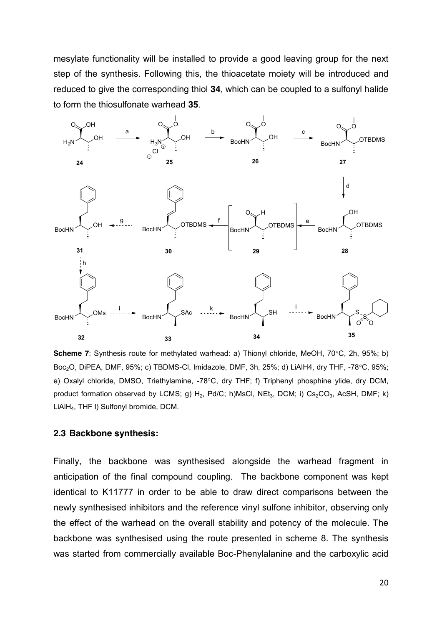mesylate functionality will be installed to provide a good leaving group for the next step of the synthesis. Following this, the thioacetate moiety will be introduced and reduced to give the corresponding thiol **34**, which can be coupled to a sulfonyl halide to form the thiosulfonate warhead **35**.



**Scheme 7**: Synthesis route for methylated warhead: a) Thionyl chloride, MeOH, 70°C, 2h, 95%; b) Boc<sub>2</sub>O, DiPEA, DMF, 95%; c) TBDMS-Cl, Imidazole, DMF, 3h, 25%; d) LiAlH4, dry THF, -78°C, 95%; e) Oxalyl chloride, DMSO, Triethylamine, -78°C, dry THF; f) Triphenyl phosphine ylide, dry DCM, product formation observed by LCMS; g)  $H_2$ , Pd/C; h)MsCl, NEt<sub>3</sub>, DCM; i) Cs<sub>2</sub>CO<sub>3</sub>, AcSH, DMF; k) LiAlH4, THF l) Sulfonyl bromide, DCM.

#### **2.3 Backbone synthesis:**

Finally, the backbone was synthesised alongside the warhead fragment in anticipation of the final compound coupling. The backbone component was kept identical to K11777 in order to be able to draw direct comparisons between the newly synthesised inhibitors and the reference vinyl sulfone inhibitor, observing only the effect of the warhead on the overall stability and potency of the molecule. The backbone was synthesised using the route presented in scheme 8. The synthesis was started from commercially available Boc-Phenylalanine and the carboxylic acid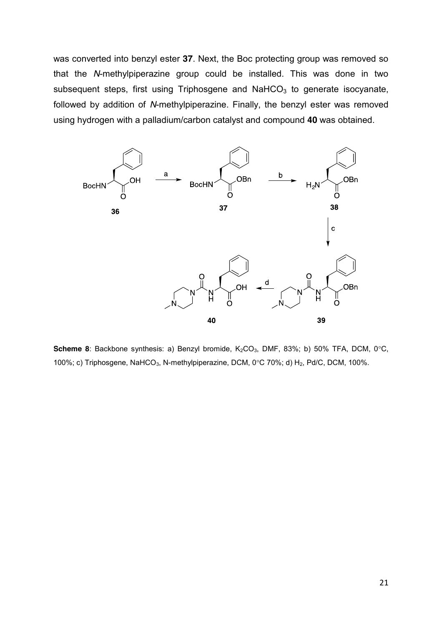was converted into benzyl ester **37**. Next, the Boc protecting group was removed so that the *N*-methylpiperazine group could be installed. This was done in two subsequent steps, first using Triphosgene and  $N$ aHCO<sub>3</sub> to generate isocyanate, followed by addition of *N*-methylpiperazine. Finally, the benzyl ester was removed using hydrogen with a palladium/carbon catalyst and compound **40** was obtained.



**Scheme 8**: Backbone synthesis: a) Benzyl bromide, K<sub>2</sub>CO<sub>3</sub>, DMF, 83%; b) 50% TFA, DCM, 0°C, 100%; c) Triphosgene, NaHCO<sub>3</sub>, N-methylpiperazine, DCM, 0°C 70%; d) H<sub>2</sub>, Pd/C, DCM, 100%.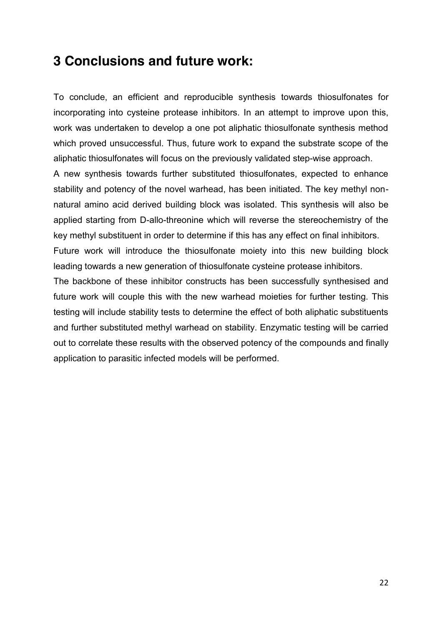## **3 Conclusions and future work:**

To conclude, an efficient and reproducible synthesis towards thiosulfonates for incorporating into cysteine protease inhibitors. In an attempt to improve upon this, work was undertaken to develop a one pot aliphatic thiosulfonate synthesis method which proved unsuccessful. Thus, future work to expand the substrate scope of the aliphatic thiosulfonates will focus on the previously validated step-wise approach.

A new synthesis towards further substituted thiosulfonates, expected to enhance stability and potency of the novel warhead, has been initiated. The key methyl nonnatural amino acid derived building block was isolated. This synthesis will also be applied starting from D-allo-threonine which will reverse the stereochemistry of the key methyl substituent in order to determine if this has any effect on final inhibitors.

Future work will introduce the thiosulfonate moiety into this new building block leading towards a new generation of thiosulfonate cysteine protease inhibitors.

The backbone of these inhibitor constructs has been successfully synthesised and future work will couple this with the new warhead moieties for further testing. This testing will include stability tests to determine the effect of both aliphatic substituents and further substituted methyl warhead on stability. Enzymatic testing will be carried out to correlate these results with the observed potency of the compounds and finally application to parasitic infected models will be performed.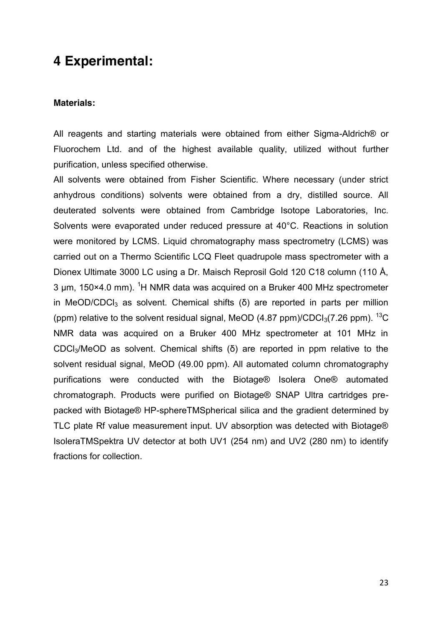## **4 Experimental:**

#### **Materials:**

All reagents and starting materials were obtained from either Sigma-Aldrich® or Fluorochem Ltd. and of the highest available quality, utilized without further purification, unless specified otherwise.

All solvents were obtained from Fisher Scientific. Where necessary (under strict anhydrous conditions) solvents were obtained from a dry, distilled source. All deuterated solvents were obtained from Cambridge Isotope Laboratories, Inc. Solvents were evaporated under reduced pressure at 40°C. Reactions in solution were monitored by LCMS. Liquid chromatography mass spectrometry (LCMS) was carried out on a Thermo Scientific LCQ Fleet quadrupole mass spectrometer with a Dionex Ultimate 3000 LC using a Dr. Maisch Reprosil Gold 120 C18 column (110 Å, 3 μm, 150×4.0 mm). <sup>1</sup>H NMR data was acquired on a Bruker 400 MHz spectrometer in MeOD/CDCl<sub>3</sub> as solvent. Chemical shifts (δ) are reported in parts per million (ppm) relative to the solvent residual signal, MeOD  $(4.87 \text{ ppm})/\text{CDCl}_3(7.26 \text{ ppm})$ . <sup>13</sup>C NMR data was acquired on a Bruker 400 MHz spectrometer at 101 MHz in CDCl3/MeOD as solvent. Chemical shifts (δ) are reported in ppm relative to the solvent residual signal, MeOD (49.00 ppm). All automated column chromatography purifications were conducted with the Biotage® Isolera One® automated chromatograph. Products were purified on Biotage® SNAP Ultra cartridges prepacked with Biotage® HP-sphereTMSpherical silica and the gradient determined by TLC plate Rf value measurement input. UV absorption was detected with Biotage® IsoleraTMSpektra UV detector at both UV1 (254 nm) and UV2 (280 nm) to identify fractions for collection.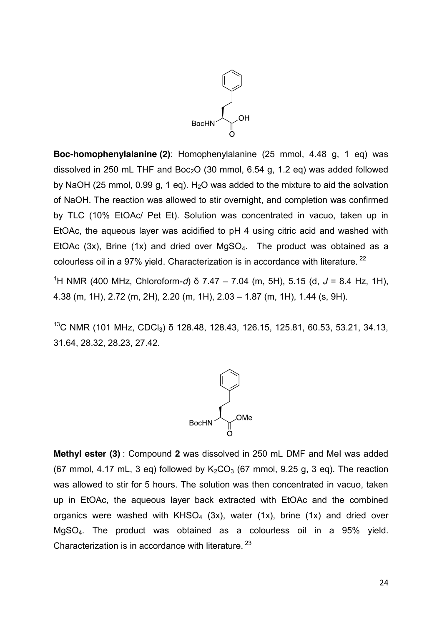

**Boc-homophenylalanine (2)**: Homophenylalanine (25 mmol, 4.48 g, 1 eq) was dissolved in 250 mL THF and Boc<sub>2</sub>O (30 mmol, 6.54 g, 1.2 eq) was added followed by NaOH (25 mmol, 0.99 g, 1 eq).  $H<sub>2</sub>O$  was added to the mixture to aid the solvation of NaOH. The reaction was allowed to stir overnight, and completion was confirmed by TLC (10% EtOAc/ Pet Et). Solution was concentrated in vacuo, taken up in EtOAc, the aqueous layer was acidified to pH 4 using citric acid and washed with EtOAc  $(3x)$ , Brine  $(1x)$  and dried over MgSO<sub>4</sub>. The product was obtained as a colourless oil in a 97% yield. Characterization is in accordance with literature. <sup>22</sup>

1 H NMR (400 MHz, Chloroform-*d*) δ 7.47 – 7.04 (m, 5H), 5.15 (d, *J* = 8.4 Hz, 1H), 4.38 (m, 1H), 2.72 (m, 2H), 2.20 (m, 1H), 2.03 – 1.87 (m, 1H), 1.44 (s, 9H).

<sup>13</sup>C NMR (101 MHz, CDCl<sub>3</sub>) δ 128.48, 128.43, 126.15, 125.81, 60.53, 53.21, 34.13, 31.64, 28.32, 28.23, 27.42.



**Methyl ester (3)** : Compound **2** was dissolved in 250 mL DMF and MeI was added (67 mmol, 4.17 mL, 3 eq) followed by  $K_2CO_3$  (67 mmol, 9.25 g, 3 eq). The reaction was allowed to stir for 5 hours. The solution was then concentrated in vacuo, taken up in EtOAc, the aqueous layer back extracted with EtOAc and the combined organics were washed with  $KHSO<sub>4</sub>$  (3x), water (1x), brine (1x) and dried over MgSO4. The product was obtained as a colourless oil in a 95% yield. Characterization is in accordance with literature.<sup>23</sup>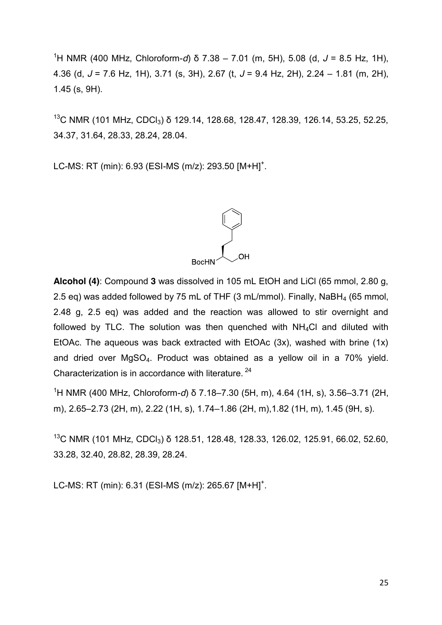1 H NMR (400 MHz, Chloroform-*d*) δ 7.38 – 7.01 (m, 5H), 5.08 (d, *J* = 8.5 Hz, 1H), 4.36 (d, *J* = 7.6 Hz, 1H), 3.71 (s, 3H), 2.67 (t, *J* = 9.4 Hz, 2H), 2.24 – 1.81 (m, 2H), 1.45 (s, 9H).

<sup>13</sup>C NMR (101 MHz, CDCl<sub>3</sub>) δ 129.14, 128.68, 128.47, 128.39, 126.14, 53.25, 52.25, 34.37, 31.64, 28.33, 28.24, 28.04.

LC-MS: RT (min): 6.93 (ESI-MS (m/z): 293.50  $[M+H]$ <sup>+</sup>.

**Alcohol (4)**: Compound **3** was dissolved in 105 mL EtOH and LiCl (65 mmol, 2.80 g, 2.5 eq) was added followed by 75 mL of THF (3 mL/mmol). Finally, NaBH<sub>4</sub> (65 mmol, 2.48 g, 2.5 eq) was added and the reaction was allowed to stir overnight and followed by TLC. The solution was then quenched with  $NH<sub>4</sub>Cl$  and diluted with EtOAc. The aqueous was back extracted with EtOAc (3x), washed with brine (1x) and dried over MgSO4. Product was obtained as a yellow oil in a 70% yield. Characterization is in accordance with literature. <sup>24</sup>

1 H NMR (400 MHz, Chloroform-*d*) δ 7.18–7.30 (5H, m), 4.64 (1H, s), 3.56–3.71 (2H, m), 2.65–2.73 (2H, m), 2.22 (1H, s), 1.74–1.86 (2H, m),1.82 (1H, m), 1.45 (9H, s).

<sup>13</sup>C NMR (101 MHz, CDCl<sub>3</sub>) δ 128.51, 128.48, 128.33, 126.02, 125.91, 66.02, 52.60, 33.28, 32.40, 28.82, 28.39, 28.24.

LC-MS: RT (min): 6.31 (ESI-MS (m/z): 265.67 [M+H]<sup>+</sup>.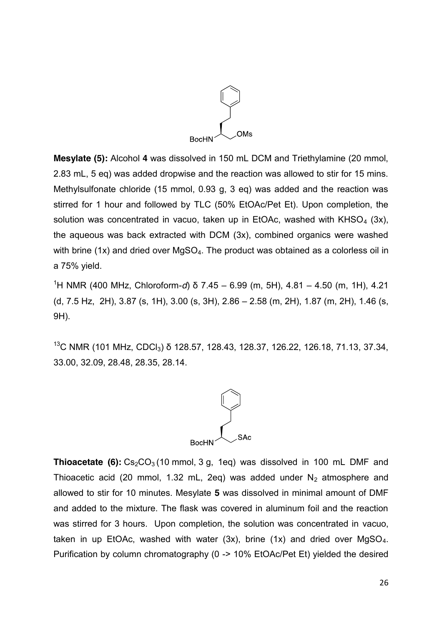

**Mesylate (5):** Alcohol **4** was dissolved in 150 mL DCM and Triethylamine (20 mmol, 2.83 mL, 5 eq) was added dropwise and the reaction was allowed to stir for 15 mins. Methylsulfonate chloride (15 mmol, 0.93 g, 3 eq) was added and the reaction was stirred for 1 hour and followed by TLC (50% EtOAc/Pet Et). Upon completion, the solution was concentrated in vacuo, taken up in EtOAc, washed with  $KHSO<sub>4</sub>$  (3x), the aqueous was back extracted with DCM (3x), combined organics were washed with brine (1x) and dried over  $MgSO<sub>4</sub>$ . The product was obtained as a colorless oil in a 75% yield.

1 H NMR (400 MHz, Chloroform-*d*) δ 7.45 – 6.99 (m, 5H), 4.81 – 4.50 (m, 1H), 4.21 (d, 7.5 Hz, 2H), 3.87 (s, 1H), 3.00 (s, 3H), 2.86 – 2.58 (m, 2H), 1.87 (m, 2H), 1.46 (s, 9H).

<sup>13</sup>C NMR (101 MHz, CDCl<sub>3</sub>) δ 128.57, 128.43, 128.37, 126.22, 126.18, 71.13, 37.34, 33.00, 32.09, 28.48, 28.35, 28.14.



**Thioacetate (6):**  $Cs<sub>2</sub>CO<sub>3</sub>$  (10 mmol, 3 g, 1eq) was dissolved in 100 mL DMF and Thioacetic acid (20 mmol, 1.32 mL, 2eq) was added under  $N_2$  atmosphere and allowed to stir for 10 minutes. Mesylate **5** was dissolved in minimal amount of DMF and added to the mixture. The flask was covered in aluminum foil and the reaction was stirred for 3 hours. Upon completion, the solution was concentrated in vacuo, taken in up EtOAc, washed with water  $(3x)$ , brine  $(1x)$  and dried over MgSO<sub>4</sub>. Purification by column chromatography (0 -> 10% EtOAc/Pet Et) yielded the desired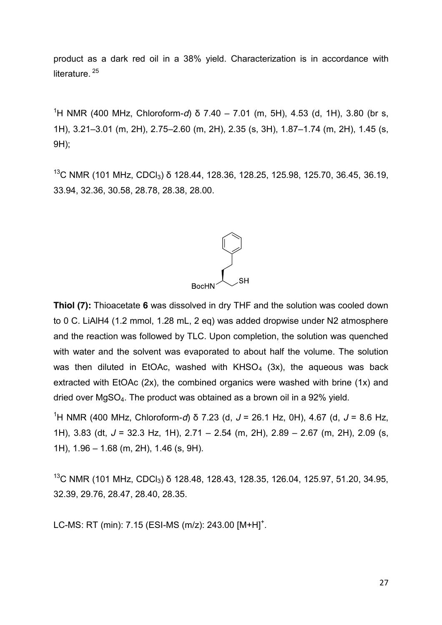product as a dark red oil in a 38% yield. Characterization is in accordance with literature.<sup>25</sup>

1 H NMR (400 MHz, Chloroform-*d*) δ 7.40 – 7.01 (m, 5H), 4.53 (d, 1H), 3.80 (br s, 1H), 3.21–3.01 (m, 2H), 2.75–2.60 (m, 2H), 2.35 (s, 3H), 1.87–1.74 (m, 2H), 1.45 (s, 9H);

<sup>13</sup>C NMR (101 MHz, CDCl<sub>3</sub>) δ 128.44, 128.36, 128.25, 125.98, 125.70, 36.45, 36.19, 33.94, 32.36, 30.58, 28.78, 28.38, 28.00.



**Thiol (7):** Thioacetate **6** was dissolved in dry THF and the solution was cooled down to 0 C. LiAlH4 (1.2 mmol, 1.28 mL, 2 eq) was added dropwise under N2 atmosphere and the reaction was followed by TLC. Upon completion, the solution was quenched with water and the solvent was evaporated to about half the volume. The solution was then diluted in EtOAc, washed with  $KHSO<sub>4</sub>$  (3x), the aqueous was back extracted with EtOAc (2x), the combined organics were washed with brine (1x) and dried over MgSO4. The product was obtained as a brown oil in a 92% yield.

1 H NMR (400 MHz, Chloroform-*d*) δ 7.23 (d, *J* = 26.1 Hz, 0H), 4.67 (d, *J* = 8.6 Hz, 1H), 3.83 (dt, *J* = 32.3 Hz, 1H), 2.71 – 2.54 (m, 2H), 2.89 – 2.67 (m, 2H), 2.09 (s, 1H), 1.96 – 1.68 (m, 2H), 1.46 (s, 9H).

<sup>13</sup>C NMR (101 MHz, CDCl<sub>3</sub>) δ 128.48, 128.43, 128.35, 126.04, 125.97, 51.20, 34.95, 32.39, 29.76, 28.47, 28.40, 28.35.

LC-MS: RT (min): 7.15 (ESI-MS (m/z): 243.00 [M+H]<sup>+</sup>.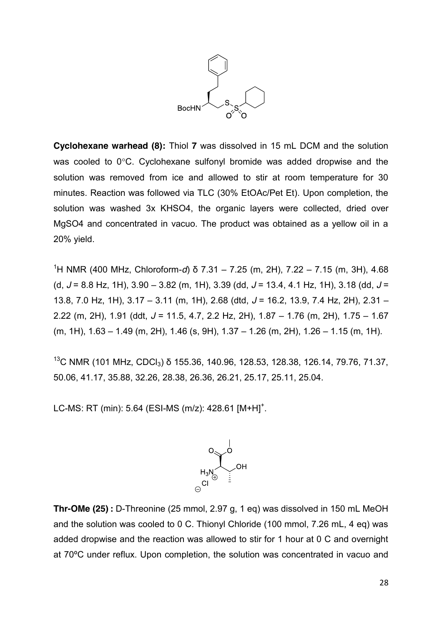

**Cyclohexane warhead (8):** Thiol **7** was dissolved in 15 mL DCM and the solution was cooled to  $0^{\circ}$ C. Cyclohexane sulfonyl bromide was added dropwise and the solution was removed from ice and allowed to stir at room temperature for 30 minutes. Reaction was followed via TLC (30% EtOAc/Pet Et). Upon completion, the solution was washed 3x KHSO4, the organic layers were collected, dried over MgSO4 and concentrated in vacuo. The product was obtained as a yellow oil in a 20% yield.

1 H NMR (400 MHz, Chloroform-*d*) δ 7.31 – 7.25 (m, 2H), 7.22 – 7.15 (m, 3H), 4.68 (d, *J* = 8.8 Hz, 1H), 3.90 – 3.82 (m, 1H), 3.39 (dd, *J* = 13.4, 4.1 Hz, 1H), 3.18 (dd, *J* = 13.8, 7.0 Hz, 1H), 3.17 – 3.11 (m, 1H), 2.68 (dtd, *J* = 16.2, 13.9, 7.4 Hz, 2H), 2.31 – 2.22 (m, 2H), 1.91 (ddt, *J* = 11.5, 4.7, 2.2 Hz, 2H), 1.87 – 1.76 (m, 2H), 1.75 – 1.67 (m, 1H), 1.63 – 1.49 (m, 2H), 1.46 (s, 9H), 1.37 – 1.26 (m, 2H), 1.26 – 1.15 (m, 1H).

<sup>13</sup>C NMR (101 MHz, CDCl<sub>3</sub>) δ 155.36, 140.96, 128.53, 128.38, 126.14, 79.76, 71.37, 50.06, 41.17, 35.88, 32.26, 28.38, 26.36, 26.21, 25.17, 25.11, 25.04.

LC-MS: RT (min): 5.64 (ESI-MS (m/z): 428.61 [M+H]<sup>+</sup>.



**Thr-OMe (25) :** D-Threonine (25 mmol, 2.97 g, 1 eq) was dissolved in 150 mL MeOH and the solution was cooled to 0 C. Thionyl Chloride (100 mmol, 7.26 mL, 4 eq) was added dropwise and the reaction was allowed to stir for 1 hour at 0 C and overnight at 70ºC under reflux. Upon completion, the solution was concentrated in vacuo and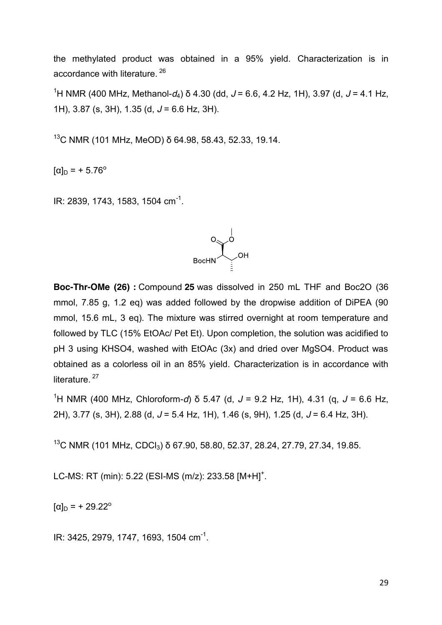the methylated product was obtained in a 95% yield. Characterization is in accordance with literature. <sup>26</sup>

1 H NMR (400 MHz, Methanol-*d*4) δ 4.30 (dd, *J* = 6.6, 4.2 Hz, 1H), 3.97 (d, *J* = 4.1 Hz, 1H), 3.87 (s, 3H), 1.35 (d, *J* = 6.6 Hz, 3H).

 $13$ C NMR (101 MHz, MeOD) δ 64.98, 58.43, 52.33, 19.14.

 $[\alpha]_{D} = +5.76^{\circ}$ 

IR: 2839, 1743, 1583, 1504 cm<sup>-1</sup>.



**Boc-Thr-OMe (26) :** Compound **25** was dissolved in 250 mL THF and Boc2O (36 mmol, 7.85 g, 1.2 eq) was added followed by the dropwise addition of DiPEA (90 mmol, 15.6 mL, 3 eq). The mixture was stirred overnight at room temperature and followed by TLC (15% EtOAc/ Pet Et). Upon completion, the solution was acidified to pH 3 using KHSO4, washed with EtOAc (3x) and dried over MgSO4. Product was obtained as a colorless oil in an 85% yield. Characterization is in accordance with literature.<sup>27</sup>

1 H NMR (400 MHz, Chloroform-*d*) δ 5.47 (d, *J* = 9.2 Hz, 1H), 4.31 (q, *J* = 6.6 Hz, 2H), 3.77 (s, 3H), 2.88 (d, *J* = 5.4 Hz, 1H), 1.46 (s, 9H), 1.25 (d, *J* = 6.4 Hz, 3H).

<sup>13</sup>C NMR (101 MHz, CDCl<sub>3</sub>) δ 67.90, 58.80, 52.37, 28.24, 27.79, 27.34, 19.85.

LC-MS: RT (min): 5.22 (ESI-MS (m/z): 233.58 [M+H]<sup>+</sup>.

 $[\alpha]_{D}$  = + 29.22<sup>o</sup>

IR: 3425, 2979, 1747, 1693, 1504 cm<sup>-1</sup>.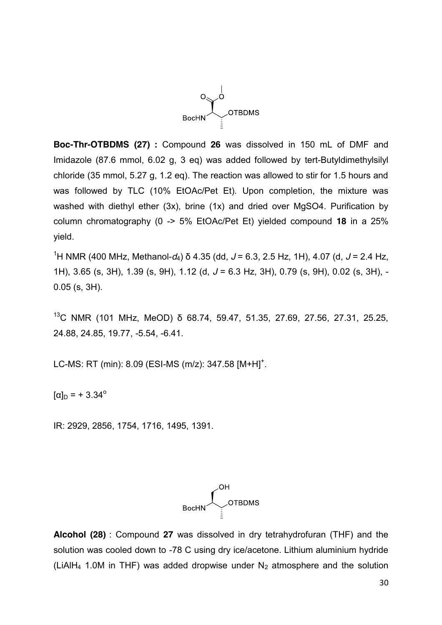

**Boc-Thr-OTBDMS (27) :** Compound **26** was dissolved in 150 mL of DMF and Imidazole (87.6 mmol, 6.02 g, 3 eq) was added followed by [tert-Butyldimethylsilyl](https://www.sigmaaldrich.com/catalog/product/aldrich/190500?lang=en®ion=US)  [chloride](https://www.sigmaaldrich.com/catalog/product/aldrich/190500?lang=en®ion=US) (35 mmol, 5.27 g, 1.2 eq). The reaction was allowed to stir for 1.5 hours and was followed by TLC (10% EtOAc/Pet Et). Upon completion, the mixture was washed with diethyl ether (3x), brine (1x) and dried over MgSO4. Purification by column chromatography (0 -> 5% EtOAc/Pet Et) yielded compound **18** in a 25% yield.

1 H NMR (400 MHz, Methanol-*d*4) δ 4.35 (dd, *J* = 6.3, 2.5 Hz, 1H), 4.07 (d, *J* = 2.4 Hz, 1H), 3.65 (s, 3H), 1.39 (s, 9H), 1.12 (d, *J* = 6.3 Hz, 3H), 0.79 (s, 9H), 0.02 (s, 3H), - 0.05 (s, 3H).

<sup>13</sup>C NMR (101 MHz, MeOD) δ 68.74, 59.47, 51.35, 27.69, 27.56, 27.31, 25.25, 24.88, 24.85, 19.77, -5.54, -6.41.

LC-MS: RT (min): 8.09 (ESI-MS (m/z): 347.58 [M+H]<sup>+</sup>.

 $[\alpha]_D = +3.34^\circ$ 

IR: 2929, 2856, 1754, 1716, 1495, 1391.



**Alcohol (28)** : Compound **27** was dissolved in dry tetrahydrofuran (THF) and the solution was cooled down to -78 C using dry ice/acetone. Lithium aluminium hydride (LiAlH<sub>4</sub> 1.0M in THF) was added dropwise under  $N_2$  atmosphere and the solution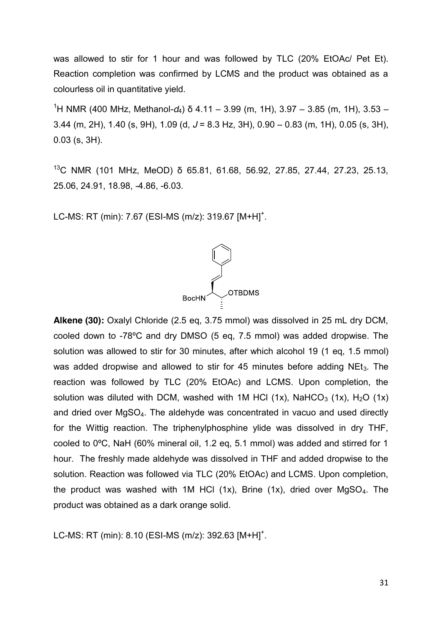was allowed to stir for 1 hour and was followed by TLC (20% EtOAc/ Pet Et). Reaction completion was confirmed by LCMS and the product was obtained as a colourless oil in quantitative yield.

1 H NMR (400 MHz, Methanol-*d*4) δ 4.11 – 3.99 (m, 1H), 3.97 – 3.85 (m, 1H), 3.53 – 3.44 (m, 2H), 1.40 (s, 9H), 1.09 (d, *J* = 8.3 Hz, 3H), 0.90 – 0.83 (m, 1H), 0.05 (s, 3H), 0.03 (s, 3H).

<sup>13</sup>C NMR (101 MHz, MeOD) δ 65.81, 61.68, 56.92, 27.85, 27.44, 27.23, 25.13, 25.06, 24.91, 18.98, -4.86, -6.03.

LC-MS: RT (min): 7.67 (ESI-MS (m/z): 319.67 [M+H]<sup>+</sup>.



**Alkene (30):** Oxalyl Chloride (2.5 eq, 3.75 mmol) was dissolved in 25 mL dry DCM, cooled down to -78ºC and dry DMSO (5 eq, 7.5 mmol) was added dropwise. The solution was allowed to stir for 30 minutes, after which alcohol 19 (1 eq, 1.5 mmol) was added dropwise and allowed to stir for 45 minutes before adding  $NEt<sub>3</sub>$ . The reaction was followed by TLC (20% EtOAc) and LCMS. Upon completion, the solution was diluted with DCM, washed with 1M HCl (1x), NaHCO<sub>3</sub> (1x), H<sub>2</sub>O (1x) and dried over MgSO4. The aldehyde was concentrated in vacuo and used directly for the Wittig reaction. The triphenylphosphine ylide was dissolved in dry THF, cooled to 0ºC, NaH (60% mineral oil, 1.2 eq, 5.1 mmol) was added and stirred for 1 hour. The freshly made aldehyde was dissolved in THF and added dropwise to the solution. Reaction was followed via TLC (20% EtOAc) and LCMS. Upon completion, the product was washed with 1M HCl  $(1x)$ , Brine  $(1x)$ , dried over MgSO<sub>4</sub>. The product was obtained as a dark orange solid.

LC-MS: RT (min): 8.10 (ESI-MS (m/z): 392.63 [M+H]<sup>+</sup>.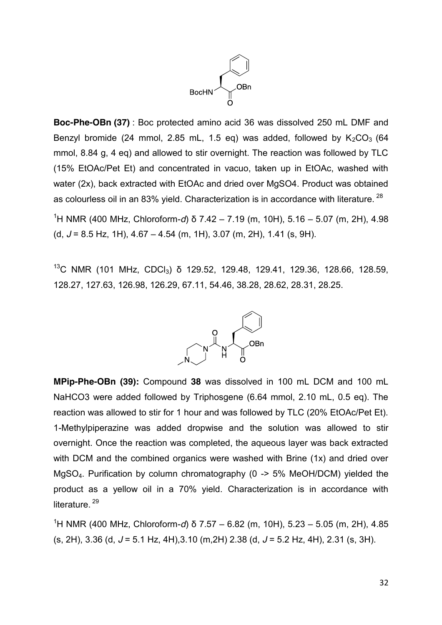

**Boc-Phe-OBn (37)** : Boc protected amino acid 36 was dissolved 250 mL DMF and Benzyl bromide (24 mmol, 2.85 mL, 1.5 eq) was added, followed by  $K_2CO_3$  (64 mmol, 8.84 g, 4 eq) and allowed to stir overnight. The reaction was followed by TLC (15% EtOAc/Pet Et) and concentrated in vacuo, taken up in EtOAc, washed with water (2x), back extracted with EtOAc and dried over MgSO4. Product was obtained as colourless oil in an 83% yield. Characterization is in accordance with literature. <sup>28</sup>

1 H NMR (400 MHz, Chloroform-*d*) δ 7.42 – 7.19 (m, 10H), 5.16 – 5.07 (m, 2H), 4.98 (d, *J* = 8.5 Hz, 1H), 4.67 – 4.54 (m, 1H), 3.07 (m, 2H), 1.41 (s, 9H).

<sup>13</sup>C NMR (101 MHz, CDCl<sub>3</sub>) δ 129.52, 129.48, 129.41, 129.36, 128.66, 128.59, 128.27, 127.63, 126.98, 126.29, 67.11, 54.46, 38.28, 28.62, 28.31, 28.25.



**MPip-Phe-OBn (39):** Compound **38** was dissolved in 100 mL DCM and 100 mL NaHCO3 were added followed by Triphosgene (6.64 mmol, 2.10 mL, 0.5 eq). The reaction was allowed to stir for 1 hour and was followed by TLC (20% EtOAc/Pet Et). 1-Methylpiperazine was added dropwise and the solution was allowed to stir overnight. Once the reaction was completed, the aqueous layer was back extracted with DCM and the combined organics were washed with Brine (1x) and dried over MgSO4. Purification by column chromatography (0 -> 5% MeOH/DCM) yielded the product as a yellow oil in a 70% yield. Characterization is in accordance with literature.<sup>29</sup>

1 H NMR (400 MHz, Chloroform-*d*) δ 7.57 – 6.82 (m, 10H), 5.23 – 5.05 (m, 2H), 4.85 (s, 2H), 3.36 (d, *J* = 5.1 Hz, 4H),3.10 (m,2H) 2.38 (d, *J* = 5.2 Hz, 4H), 2.31 (s, 3H).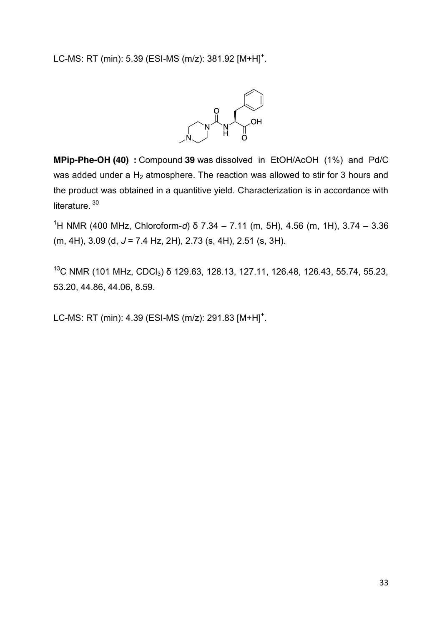LC-MS: RT (min): 5.39 (ESI-MS (m/z): 381.92  $[M+H]$ <sup>+</sup>.



**MPip-Phe-OH (40) :** Compound **39** was dissolved in EtOH/AcOH (1%) and Pd/C was added under a  $H_2$  atmosphere. The reaction was allowed to stir for 3 hours and the product was obtained in a quantitive yield. Characterization is in accordance with literature.<sup>30</sup>

1 H NMR (400 MHz, Chloroform-*d*) δ 7.34 – 7.11 (m, 5H), 4.56 (m, 1H), 3.74 – 3.36 (m, 4H), 3.09 (d, *J* = 7.4 Hz, 2H), 2.73 (s, 4H), 2.51 (s, 3H).

<sup>13</sup>C NMR (101 MHz, CDCl<sub>3</sub>) δ 129.63, 128.13, 127.11, 126.48, 126.43, 55.74, 55.23, 53.20, 44.86, 44.06, 8.59.

LC-MS: RT (min): 4.39 (ESI-MS (m/z): 291.83 [M+H]<sup>+</sup>.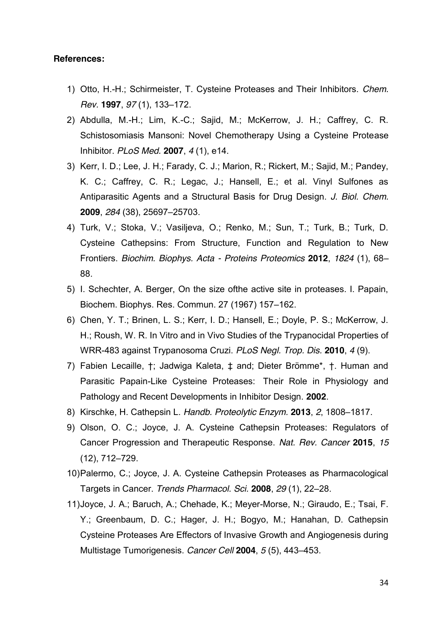#### **References:**

- 1) Otto, H.-H.; Schirmeister, T. Cysteine Proteases and Their Inhibitors. *Chem. Rev.* **1997**, *97* (1), 133–172.
- 2) Abdulla, M.-H.; Lim, K.-C.; Sajid, M.; McKerrow, J. H.; Caffrey, C. R. Schistosomiasis Mansoni: Novel Chemotherapy Using a Cysteine Protease Inhibitor. *PLoS Med.* **2007**, *4* (1), e14.
- 3) Kerr, I. D.; Lee, J. H.; Farady, C. J.; Marion, R.; Rickert, M.; Sajid, M.; Pandey, K. C.; Caffrey, C. R.; Legac, J.; Hansell, E.; et al. Vinyl Sulfones as Antiparasitic Agents and a Structural Basis for Drug Design. *J. Biol. Chem.* **2009**, *284* (38), 25697–25703.
- 4) Turk, V.; Stoka, V.; Vasiljeva, O.; Renko, M.; Sun, T.; Turk, B.; Turk, D. Cysteine Cathepsins: From Structure, Function and Regulation to New Frontiers. *Biochim. Biophys. Acta - Proteins Proteomics* **2012**, *1824* (1), 68– 88.
- 5) I. Schechter, A. Berger, On the size ofthe active site in proteases. I. Papain, Biochem. Biophys. Res. Commun. 27 (1967) 157–162.
- 6) Chen, Y. T.; Brinen, L. S.; Kerr, I. D.; Hansell, E.; Doyle, P. S.; McKerrow, J. H.; Roush, W. R. In Vitro and in Vivo Studies of the Trypanocidal Properties of WRR-483 against Trypanosoma Cruzi. *PLoS Negl. Trop. Dis.* **2010**, *4* (9).
- 7) Fabien Lecaille, †; Jadwiga Kaleta, ‡ and; Dieter Brömme\*, †. Human and Parasitic Papain-Like Cysteine Proteases: Their Role in Physiology and Pathology and Recent Developments in Inhibitor Design. **2002**.
- 8) Kirschke, H. Cathepsin L. *Handb. Proteolytic Enzym.* **2013**, *2*, 1808–1817.
- 9) Olson, O. C.; Joyce, J. A. Cysteine Cathepsin Proteases: Regulators of Cancer Progression and Therapeutic Response. *Nat. Rev. Cancer* **2015**, *15* (12), 712–729.
- 10)Palermo, C.; Joyce, J. A. Cysteine Cathepsin Proteases as Pharmacological Targets in Cancer. *Trends Pharmacol. Sci.* **2008**, *29* (1), 22–28.
- 11)Joyce, J. A.; Baruch, A.; Chehade, K.; Meyer-Morse, N.; Giraudo, E.; Tsai, F. Y.; Greenbaum, D. C.; Hager, J. H.; Bogyo, M.; Hanahan, D. Cathepsin Cysteine Proteases Are Effectors of Invasive Growth and Angiogenesis during Multistage Tumorigenesis. *Cancer Cell* **2004**, *5* (5), 443–453.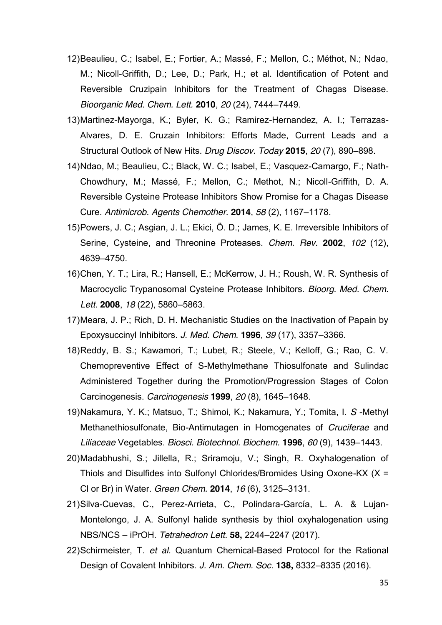- 12)Beaulieu, C.; Isabel, E.; Fortier, A.; Massé, F.; Mellon, C.; Méthot, N.; Ndao, M.; Nicoll-Griffith, D.; Lee, D.; Park, H.; et al. Identification of Potent and Reversible Cruzipain Inhibitors for the Treatment of Chagas Disease. *Bioorganic Med. Chem. Lett.* **2010**, *20* (24), 7444–7449.
- 13)Martinez-Mayorga, K.; Byler, K. G.; Ramirez-Hernandez, A. I.; Terrazas-Alvares, D. E. Cruzain Inhibitors: Efforts Made, Current Leads and a Structural Outlook of New Hits. *Drug Discov. Today* **2015**, *20* (7), 890–898.
- 14)Ndao, M.; Beaulieu, C.; Black, W. C.; Isabel, E.; Vasquez-Camargo, F.; Nath-Chowdhury, M.; Massé, F.; Mellon, C.; Methot, N.; Nicoll-Griffith, D. A. Reversible Cysteine Protease Inhibitors Show Promise for a Chagas Disease Cure. *Antimicrob. Agents Chemother.* **2014**, *58* (2), 1167–1178.
- 15)Powers, J. C.; Asgian, J. L.; Ekici, Ö. D.; James, K. E. Irreversible Inhibitors of Serine, Cysteine, and Threonine Proteases. *Chem. Rev.* **2002**, *102* (12), 4639–4750.
- 16)Chen, Y. T.; Lira, R.; Hansell, E.; McKerrow, J. H.; Roush, W. R. Synthesis of Macrocyclic Trypanosomal Cysteine Protease Inhibitors. *Bioorg. Med. Chem. Lett.* **2008**, *18* (22), 5860–5863.
- 17)Meara, J. P.; Rich, D. H. Mechanistic Studies on the Inactivation of Papain by Epoxysuccinyl Inhibitors. *J. Med. Chem.* **1996**, *39* (17), 3357–3366.
- 18)Reddy, B. S.; Kawamori, T.; Lubet, R.; Steele, V.; Kelloff, G.; Rao, C. V. Chemopreventive Effect of S-Methylmethane Thiosulfonate and Sulindac Administered Together during the Promotion/Progression Stages of Colon Carcinogenesis. *Carcinogenesis* **1999**, *20* (8), 1645–1648.
- 19)Nakamura, Y. K.; Matsuo, T.; Shimoi, K.; Nakamura, Y.; Tomita, I. *S* -Methyl Methanethiosulfonate, Bio-Antimutagen in Homogenates of *Cruciferae* and *Liliaceae* Vegetables. *Biosci. Biotechnol. Biochem.* **1996**, *60* (9), 1439–1443.
- 20)Madabhushi, S.; Jillella, R.; Sriramoju, V.; Singh, R. Oxyhalogenation of Thiols and Disulfides into Sulfonyl Chlorides/Bromides Using Oxone-KX (X = Cl or Br) in Water. *Green Chem.* **2014**, *16* (6), 3125–3131.
- 21)Silva-Cuevas, C., Perez-Arrieta, C., Polindara-García, L. A. & Lujan-Montelongo, J. A. Sulfonyl halide synthesis by thiol oxyhalogenation using NBS/NCS – iPrOH. *Tetrahedron Lett.* **58,** 2244–2247 (2017).
- 22)Schirmeister, T. *et al.* Quantum Chemical-Based Protocol for the Rational Design of Covalent Inhibitors. *J. Am. Chem. Soc.* **138,** 8332–8335 (2016).